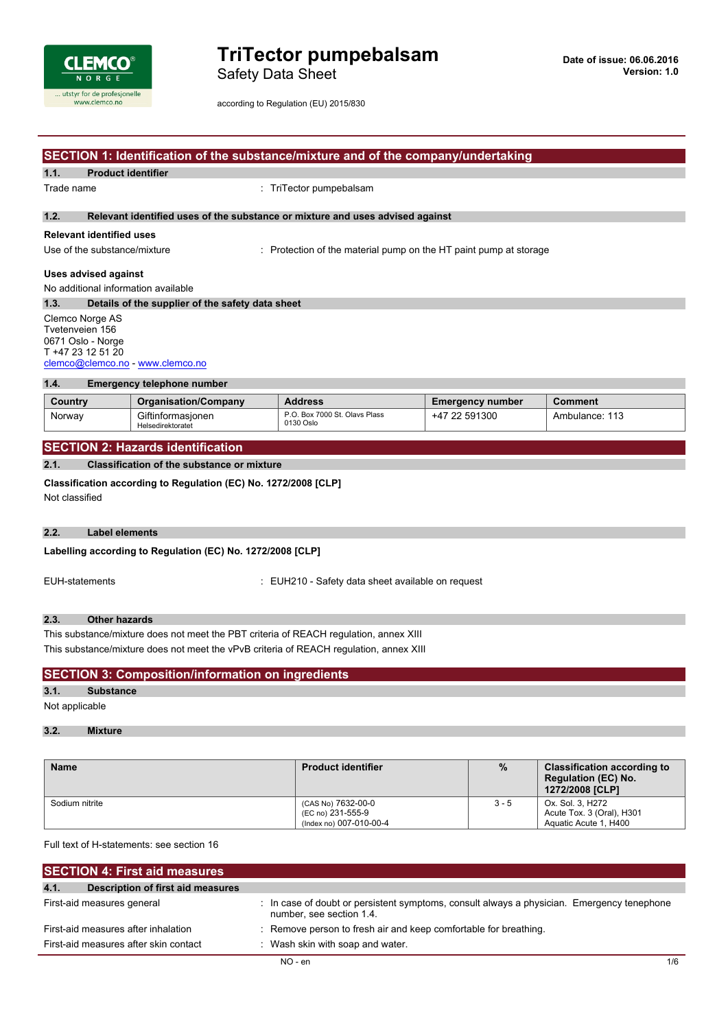

Safety Data Sheet

|            | SECTION 1: Identification of the substance/mixture and of the company/undertaking                                |                                        |                                                                               |                         |                |  |  |
|------------|------------------------------------------------------------------------------------------------------------------|----------------------------------------|-------------------------------------------------------------------------------|-------------------------|----------------|--|--|
| 1.1.       | <b>Product identifier</b>                                                                                        |                                        |                                                                               |                         |                |  |  |
| Trade name |                                                                                                                  |                                        | : TriTector pumpebalsam                                                       |                         |                |  |  |
| 1.2.       |                                                                                                                  |                                        | Relevant identified uses of the substance or mixture and uses advised against |                         |                |  |  |
|            | <b>Relevant identified uses</b>                                                                                  |                                        |                                                                               |                         |                |  |  |
|            | Use of the substance/mixture                                                                                     |                                        | : Protection of the material pump on the HT paint pump at storage             |                         |                |  |  |
|            | Uses advised against                                                                                             |                                        |                                                                               |                         |                |  |  |
|            |                                                                                                                  | No additional information available    |                                                                               |                         |                |  |  |
| 1.3.       | Details of the supplier of the safety data sheet                                                                 |                                        |                                                                               |                         |                |  |  |
|            | Clemco Norge AS<br>Tvetenveien 156<br>0671 Oslo - Norge<br>T +47 23 12 51 20<br>clemco@clemco.no - www.clemco.no |                                        |                                                                               |                         |                |  |  |
| 1.4.       | <b>Emergency telephone number</b>                                                                                |                                        |                                                                               |                         |                |  |  |
| Country    |                                                                                                                  | <b>Organisation/Company</b>            | <b>Address</b>                                                                | <b>Emergency number</b> | <b>Comment</b> |  |  |
| Norway     |                                                                                                                  | Giftinformasjonen<br>Helsedirektoratet | P.O. Box 7000 St. Olavs Plass<br>0130 Oslo                                    | +47 22 591300           | Ambulance: 113 |  |  |

## **SECTION 2: Hazards identification**

#### **2.1. Classification of the substance or mixture**

**Classification according to Regulation (EC) No. 1272/2008 [CLP]** Not classified

#### **2.2. Label elements**

### **Labelling** according to Regulation (EC) No. 1272/2008 [CLP]

EUH-statements : EUH210 - Safety data sheet available on request

#### **2.3. Other hazards**

This substance/mixture does not meet the PBT criteria of REACH regulation, annex XIII This substance/mixture does not meet the vPvB criteria of REACH regulation, annex XIII

## **SECTION 3: Composition/information on ingredients**

## **3.1. Substance**

Not applicable

## **3.2. Mixture**

| <b>Name</b>    | <b>Product identifier</b>                                          | $\frac{9}{6}$ | <b>Classification according to</b><br>Regulation (EC) No.<br>1272/2008 [CLP] |
|----------------|--------------------------------------------------------------------|---------------|------------------------------------------------------------------------------|
| Sodium nitrite | (CAS No) 7632-00-0<br>(EC no) 231-555-9<br>(Index no) 007-010-00-4 | $3 - 5$       | Ox. Sol. 3. H272<br>Acute Tox. 3 (Oral), H301<br>Aquatic Acute 1, H400       |

Full text of H-statements: see section 16

| <b>SECTION 4: First aid measures</b>      |                                                                                                                        |     |
|-------------------------------------------|------------------------------------------------------------------------------------------------------------------------|-----|
| 4.1.<br>Description of first aid measures |                                                                                                                        |     |
| First-aid measures general                | : In case of doubt or persistent symptoms, consult always a physician. Emergency tenephone<br>number, see section 1.4. |     |
| First-aid measures after inhalation       | : Remove person to fresh air and keep comfortable for breathing.                                                       |     |
| First-aid measures after skin contact     | : Wash skin with soap and water.                                                                                       |     |
|                                           | $NO - en$                                                                                                              | 1/6 |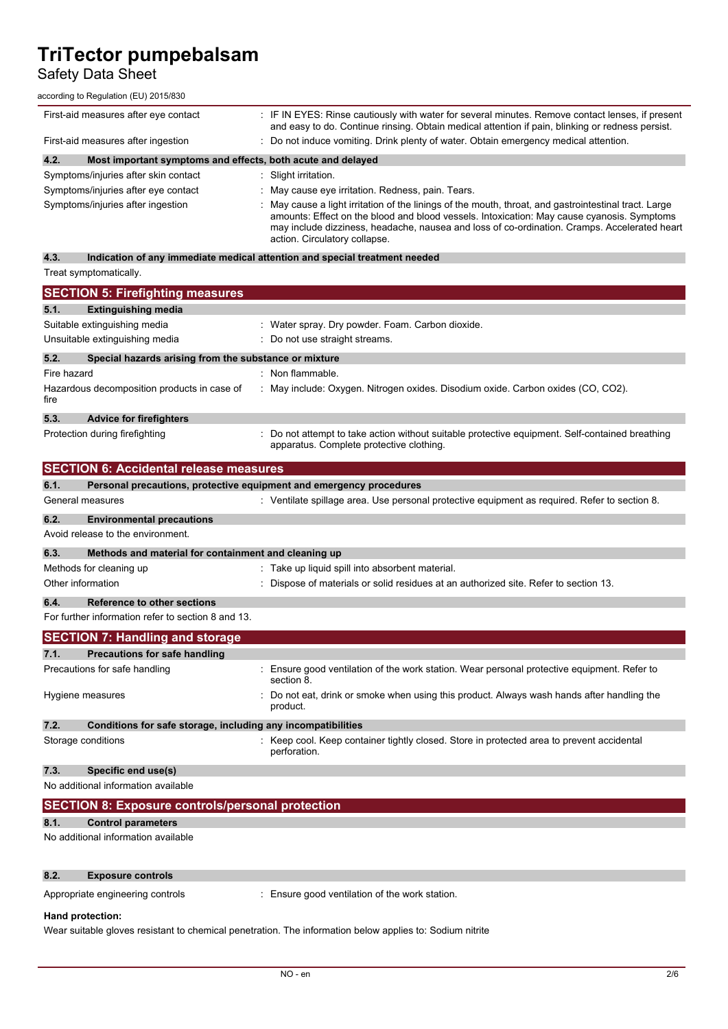## Safety Data Sheet

according to Regulation (EU) 2015/830

| First-aid measures after eye contact                                |  | : IF IN EYES: Rinse cautiously with water for several minutes. Remove contact lenses, if present<br>and easy to do. Continue rinsing. Obtain medical attention if pain, blinking or redness persist.                                                                                                                               |
|---------------------------------------------------------------------|--|------------------------------------------------------------------------------------------------------------------------------------------------------------------------------------------------------------------------------------------------------------------------------------------------------------------------------------|
| First-aid measures after ingestion                                  |  | : Do not induce vomiting. Drink plenty of water. Obtain emergency medical attention.                                                                                                                                                                                                                                               |
| 4.2.<br>Most important symptoms and effects, both acute and delayed |  |                                                                                                                                                                                                                                                                                                                                    |
| Symptoms/injuries after skin contact                                |  | Slight irritation.                                                                                                                                                                                                                                                                                                                 |
| Symptoms/injuries after eye contact                                 |  | : May cause eye irritation. Redness, pain. Tears.                                                                                                                                                                                                                                                                                  |
| Symptoms/injuries after ingestion                                   |  | May cause a light irritation of the linings of the mouth, throat, and gastrointestinal tract. Large<br>amounts: Effect on the blood and blood vessels. Intoxication: May cause cyanosis. Symptoms<br>may include dizziness, headache, nausea and loss of co-ordination. Cramps. Accelerated heart<br>action. Circulatory collapse. |

**4.3. Indication of any immediate medical attention and special treatment needed** Treat symptomatically.

|             | <b>SECTION 5: Firefighting measures</b>                             |                                                                                                                                           |
|-------------|---------------------------------------------------------------------|-------------------------------------------------------------------------------------------------------------------------------------------|
| 5.1.        | <b>Extinguishing media</b>                                          |                                                                                                                                           |
|             | Suitable extinguishing media                                        | : Water spray. Dry powder. Foam. Carbon dioxide.                                                                                          |
|             | Unsuitable extinguishing media                                      | Do not use straight streams.                                                                                                              |
| 5.2.        | Special hazards arising from the substance or mixture               |                                                                                                                                           |
| Fire hazard |                                                                     | : Non flammable.                                                                                                                          |
| fire        | Hazardous decomposition products in case of                         | May include: Oxygen. Nitrogen oxides. Disodium oxide. Carbon oxides (CO, CO2).                                                            |
| 5.3.        | <b>Advice for firefighters</b>                                      |                                                                                                                                           |
|             | Protection during firefighting                                      | Do not attempt to take action without suitable protective equipment. Self-contained breathing<br>apparatus. Complete protective clothing. |
|             | <b>SECTION 6: Accidental release measures</b>                       |                                                                                                                                           |
| 6.1.        | Personal precautions, protective equipment and emergency procedures |                                                                                                                                           |
|             | General measures                                                    | $\therefore$ Ventilate spillage area. Use personal protective equipment as required. Refer to section 8.                                  |
| 6.2.        | <b>Environmental precautions</b>                                    |                                                                                                                                           |
|             | Avoid release to the environment.                                   |                                                                                                                                           |
| 6.3.        | Methods and material for containment and cleaning up                |                                                                                                                                           |
|             | Methods for cleaning up                                             | Take up liquid spill into absorbent material.                                                                                             |
|             | Other information                                                   | Dispose of materials or solid residues at an authorized site. Refer to section 13.                                                        |
| 6.4.        | Reference to other sections                                         |                                                                                                                                           |
|             | For further information refer to section 8 and 13.                  |                                                                                                                                           |
|             | <b>SECTION 7: Handling and storage</b>                              |                                                                                                                                           |
| 7.1.        | <b>Precautions for safe handling</b>                                |                                                                                                                                           |
|             | Precautions for safe handling                                       | Ensure good ventilation of the work station. Wear personal protective equipment. Refer to<br>section 8.                                   |
|             | Hygiene measures                                                    | Do not eat, drink or smoke when using this product. Always wash hands after handling the<br>product.                                      |
| 7.2.        | Conditions for safe storage, including any incompatibilities        |                                                                                                                                           |
|             | Storage conditions                                                  | Keep cool. Keep container tightly closed. Store in protected area to prevent accidental<br>perforation.                                   |
| 7.3.        | Specific end use(s)                                                 |                                                                                                                                           |
|             | No additional information available                                 |                                                                                                                                           |
|             | <b>SECTION 8: Exposure controls/personal protection</b>             |                                                                                                                                           |
| 8.1.        | <b>Control parameters</b>                                           |                                                                                                                                           |

No additional information available

### **8.2. Exposure controls**

Appropriate engineering controls : Ensure good ventilation of the work station.

#### **Hand protection:**

Wear suitable gloves resistant to chemical penetration. The information below applies to: Sodium nitrite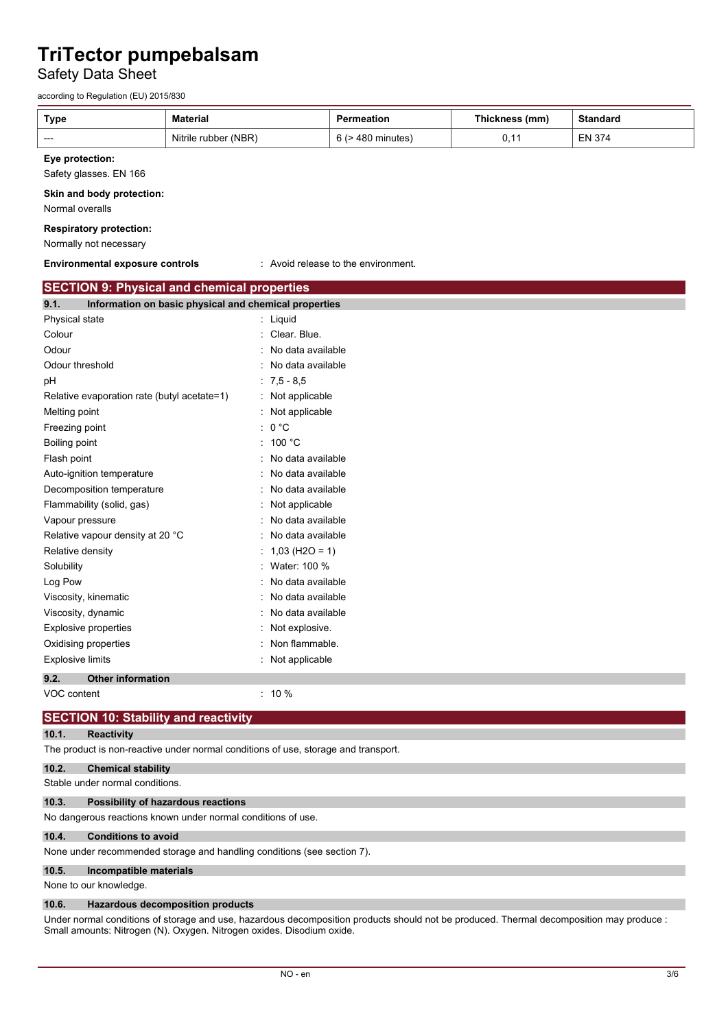Safety Data Sheet

according to Regulation (EU) 2015/830

| <b>Type</b>                                              | <b>Material</b>                                       |                     | <b>Permeation</b>                   | Thickness (mm) | <b>Standard</b> |  |  |
|----------------------------------------------------------|-------------------------------------------------------|---------------------|-------------------------------------|----------------|-----------------|--|--|
| ---                                                      | Nitrile rubber (NBR)                                  |                     | 6 (> 480 minutes)                   | 0,11           | <b>EN 374</b>   |  |  |
| Eye protection:<br>Safety glasses. EN 166                |                                                       |                     |                                     |                |                 |  |  |
| Skin and body protection:<br>Normal overalls             |                                                       |                     |                                     |                |                 |  |  |
| <b>Respiratory protection:</b><br>Normally not necessary |                                                       |                     |                                     |                |                 |  |  |
| <b>Environmental exposure controls</b>                   |                                                       |                     | : Avoid release to the environment. |                |                 |  |  |
| <b>SECTION 9: Physical and chemical properties</b>       |                                                       |                     |                                     |                |                 |  |  |
| 9.1.                                                     | Information on basic physical and chemical properties |                     |                                     |                |                 |  |  |
| Physical state                                           |                                                       | : Liquid            |                                     |                |                 |  |  |
| Colour                                                   |                                                       | : Clear. Blue.      |                                     |                |                 |  |  |
| Odour                                                    |                                                       | No data available   |                                     |                |                 |  |  |
| Odour threshold                                          |                                                       | No data available   |                                     |                |                 |  |  |
| рH                                                       |                                                       | $: 7,5 - 8,5$       |                                     |                |                 |  |  |
| Relative evaporation rate (butyl acetate=1)              |                                                       | : Not applicable    |                                     |                |                 |  |  |
| Melting point                                            |                                                       | : Not applicable    |                                     |                |                 |  |  |
| Freezing point                                           |                                                       | : 0 °C              |                                     |                |                 |  |  |
| Boiling point                                            |                                                       | : 100 °C            |                                     |                |                 |  |  |
| Flash point                                              |                                                       | No data available   |                                     |                |                 |  |  |
| Auto-ignition temperature                                |                                                       | No data available   |                                     |                |                 |  |  |
| Decomposition temperature                                |                                                       | No data available   |                                     |                |                 |  |  |
| Flammability (solid, gas)                                |                                                       | Not applicable      |                                     |                |                 |  |  |
| Vapour pressure                                          |                                                       | No data available   |                                     |                |                 |  |  |
| Relative vapour density at 20 °C                         |                                                       | No data available   |                                     |                |                 |  |  |
| Relative density                                         |                                                       | $1,03$ (H2O = 1)    |                                     |                |                 |  |  |
| Solubility                                               |                                                       | Water: 100 %        |                                     |                |                 |  |  |
| Log Pow                                                  |                                                       | No data available   |                                     |                |                 |  |  |
| Viscosity, kinematic                                     |                                                       | No data available   |                                     |                |                 |  |  |
| Viscosity, dynamic                                       |                                                       | : No data available |                                     |                |                 |  |  |
| <b>Explosive properties</b>                              |                                                       | Not explosive.      |                                     |                |                 |  |  |
| Oxidising properties                                     |                                                       | Non flammable.      |                                     |                |                 |  |  |
| <b>Explosive limits</b>                                  |                                                       | : Not applicable    |                                     |                |                 |  |  |
| 9.2.<br><b>Other information</b>                         |                                                       |                     |                                     |                |                 |  |  |
| VOC content                                              |                                                       | $: 10 \%$           |                                     |                |                 |  |  |
| <b>SECTION 10: Stability and reactivity</b>              |                                                       |                     |                                     |                |                 |  |  |

### **10.1. Reactivity**

The product is non-reactive under normal conditions of use, storage and transport.

## **10.2. Chemical stability**

Stable under normal conditions.

#### **10.3. Possibility of hazardous reactions**

No dangerous reactions known under normal conditions of use.

#### **10.4. Conditions to avoid**

None under recommended storage and handling conditions (see section 7).

#### **10.5. Incompatible materials**

None to our knowledge.

#### **10.6. Hazardous decomposition products**

Under normal conditions of storage and use, hazardous decomposition products should not be produced. Thermal decomposition may produce : Small amounts: Nitrogen (N). Oxygen. Nitrogen oxides. Disodium oxide.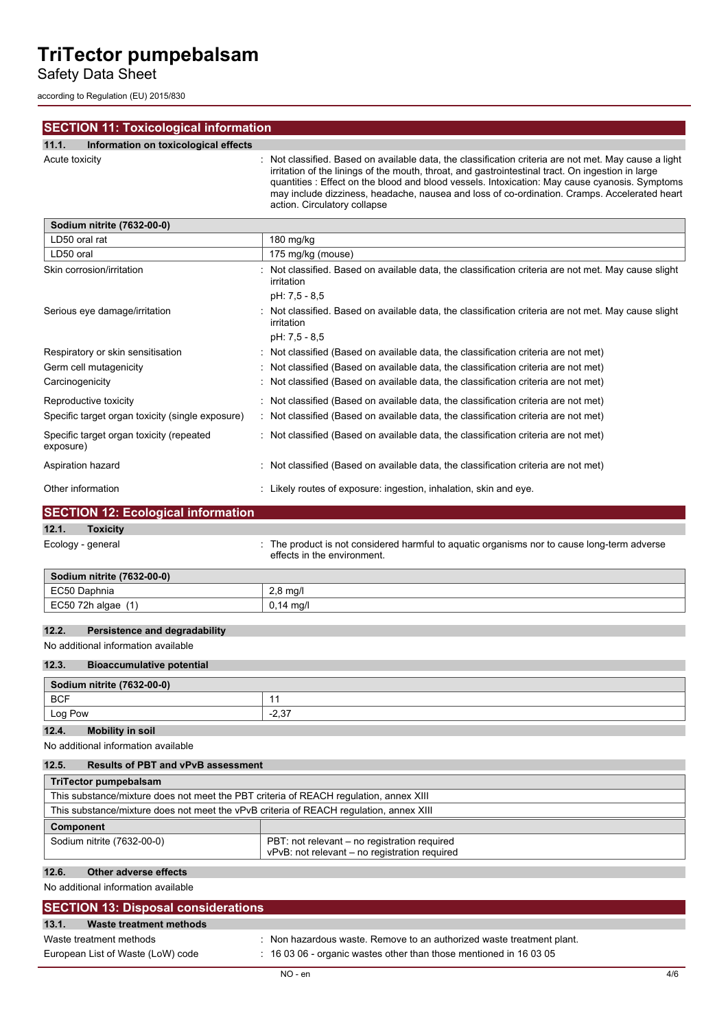Safety Data Sheet

according to Regulation (EU) 2015/830

| <b>SECTION 11: Toxicological information</b>          |                                                                                                                                                                                                                                                                                                                                                                                                                                            |
|-------------------------------------------------------|--------------------------------------------------------------------------------------------------------------------------------------------------------------------------------------------------------------------------------------------------------------------------------------------------------------------------------------------------------------------------------------------------------------------------------------------|
| 11.1.<br>Information on toxicological effects         |                                                                                                                                                                                                                                                                                                                                                                                                                                            |
| Acute toxicity                                        | Not classified. Based on available data, the classification criteria are not met. May cause a light<br>irritation of the linings of the mouth, throat, and gastrointestinal tract. On ingestion in large<br>quantities : Effect on the blood and blood vessels. Intoxication: May cause cyanosis. Symptoms<br>may include dizziness, headache, nausea and loss of co-ordination. Cramps. Accelerated heart<br>action. Circulatory collapse |
| Sodium nitrite (7632-00-0)                            |                                                                                                                                                                                                                                                                                                                                                                                                                                            |
| LD50 oral rat                                         | 180 mg/kg                                                                                                                                                                                                                                                                                                                                                                                                                                  |
| LD50 oral                                             | 175 mg/kg (mouse)                                                                                                                                                                                                                                                                                                                                                                                                                          |
| Skin corrosion/irritation                             | Not classified. Based on available data, the classification criteria are not met. May cause slight<br>irritation                                                                                                                                                                                                                                                                                                                           |
|                                                       | pH: 7,5 - 8,5                                                                                                                                                                                                                                                                                                                                                                                                                              |
| Serious eye damage/irritation                         | Not classified. Based on available data, the classification criteria are not met. May cause slight<br>irritation                                                                                                                                                                                                                                                                                                                           |
|                                                       | pH: 7,5 - 8,5                                                                                                                                                                                                                                                                                                                                                                                                                              |
| Respiratory or skin sensitisation                     | Not classified (Based on available data, the classification criteria are not met)                                                                                                                                                                                                                                                                                                                                                          |
| Germ cell mutagenicity                                | Not classified (Based on available data, the classification criteria are not met)                                                                                                                                                                                                                                                                                                                                                          |
| Carcinogenicity                                       | Not classified (Based on available data, the classification criteria are not met)                                                                                                                                                                                                                                                                                                                                                          |
| Reproductive toxicity                                 | Not classified (Based on available data, the classification criteria are not met)                                                                                                                                                                                                                                                                                                                                                          |
| Specific target organ toxicity (single exposure)      | Not classified (Based on available data, the classification criteria are not met)                                                                                                                                                                                                                                                                                                                                                          |
| Specific target organ toxicity (repeated<br>exposure) | : Not classified (Based on available data, the classification criteria are not met)                                                                                                                                                                                                                                                                                                                                                        |
| Aspiration hazard                                     | : Not classified (Based on available data, the classification criteria are not met)                                                                                                                                                                                                                                                                                                                                                        |
| Other information                                     | : Likely routes of exposure: ingestion, inhalation, skin and eye.                                                                                                                                                                                                                                                                                                                                                                          |
| <b>SECTION 12: Ecological information</b>             |                                                                                                                                                                                                                                                                                                                                                                                                                                            |
| 12.1.<br><b>Toxicity</b>                              |                                                                                                                                                                                                                                                                                                                                                                                                                                            |
| Ecology - general                                     | The product is not considered harmful to aquatic organisms nor to cause long-term adverse<br>effects in the environment.                                                                                                                                                                                                                                                                                                                   |
| Sodium nitrite (7632-00-0)                            |                                                                                                                                                                                                                                                                                                                                                                                                                                            |

| $6 - 11$<br>ium nitrite<br>(7632-00-0 |              |  |  |  |
|---------------------------------------|--------------|--|--|--|
| ECEC<br>hnia                          | ma/<br>$-1$  |  |  |  |
| EC50 72h algae                        | – ma/l<br>v. |  |  |  |
|                                       |              |  |  |  |

## **12.2. Persistence and degradability**

No additional information available

## **12.3. Bioaccumulative potential**

| Sodium nitrite (7632-00-0)       |         |  |  |
|----------------------------------|---------|--|--|
| BCF                              |         |  |  |
| Log Pow                          | $-2.37$ |  |  |
| 12.4.<br><b>Mobility in soil</b> |         |  |  |

No additional information available

| 12.5.<br><b>Results of PBT and vPvB assessment</b>                                                                          |                                                                                       |  |  |  |  |
|-----------------------------------------------------------------------------------------------------------------------------|---------------------------------------------------------------------------------------|--|--|--|--|
| TriTector pumpebalsam                                                                                                       |                                                                                       |  |  |  |  |
|                                                                                                                             | This substance/mixture does not meet the PBT criteria of REACH regulation, annex XIII |  |  |  |  |
| This substance/mixture does not meet the vPvB criteria of REACH requlation, annex XIII                                      |                                                                                       |  |  |  |  |
| Component                                                                                                                   |                                                                                       |  |  |  |  |
| Sodium nitrite (7632-00-0)<br>PBT: not relevant - no registration required<br>vPvB: not relevant - no registration required |                                                                                       |  |  |  |  |

## **12.6. Other adverse effects**

j.

No additional information available

| <b>SECTION 13: Disposal considerations</b> |                                                                               |     |
|--------------------------------------------|-------------------------------------------------------------------------------|-----|
| 13.1.<br>Waste treatment methods           |                                                                               |     |
| Waste treatment methods                    | : Non hazardous waste. Remove to an authorized waste treatment plant.         |     |
| European List of Waste (LoW) code          | $\therefore$ 16 03 06 - organic wastes other than those mentioned in 16 03 05 |     |
|                                            | $NO - en$                                                                     | 4/6 |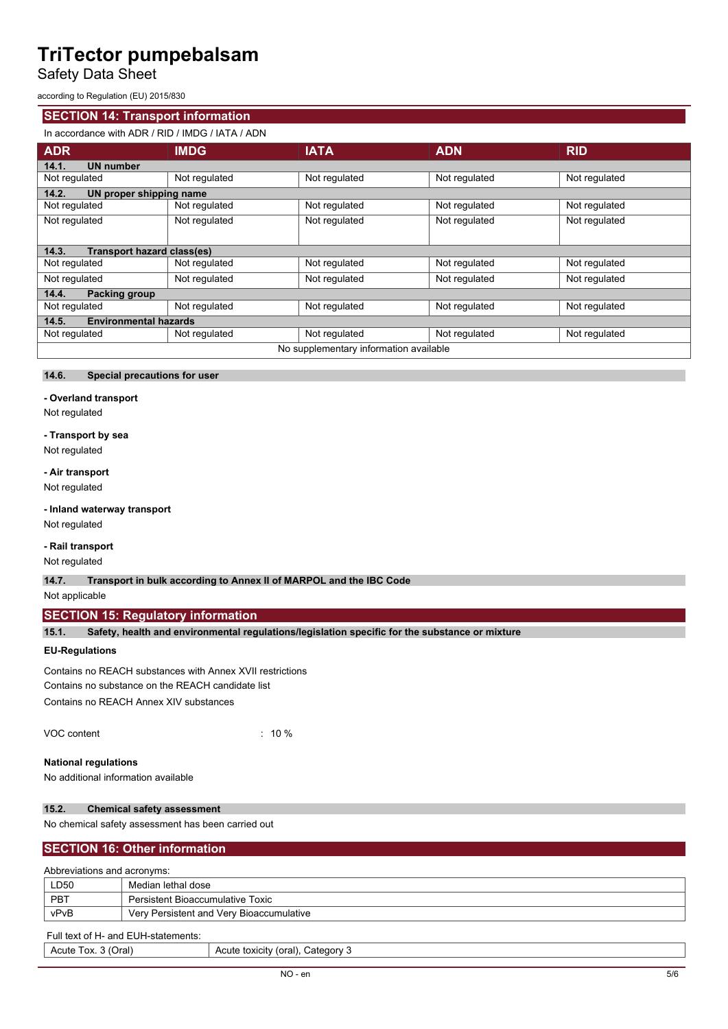Safety Data Sheet

according to Regulation (EU) 2015/830

## **SECTION 14: Transport information**

## In accordance with ADR / RID / IMDG / IATA / ADN

| <b>ADR</b>                                 | <b>IMDG</b>   | <b>IATA</b>   | <b>ADN</b>    | <b>RID</b>    |  |  |  |
|--------------------------------------------|---------------|---------------|---------------|---------------|--|--|--|
| <b>UN number</b><br>14.1.                  |               |               |               |               |  |  |  |
| Not regulated                              | Not regulated | Not regulated | Not regulated | Not regulated |  |  |  |
| 14.2.<br>UN proper shipping name           |               |               |               |               |  |  |  |
| Not regulated                              | Not regulated | Not regulated | Not regulated | Not regulated |  |  |  |
| Not regulated                              | Not regulated | Not regulated | Not regulated | Not regulated |  |  |  |
| <b>Transport hazard class(es)</b><br>14.3. |               |               |               |               |  |  |  |
| Not regulated                              | Not regulated | Not regulated | Not regulated | Not regulated |  |  |  |
| Not regulated                              | Not regulated | Not regulated | Not regulated | Not regulated |  |  |  |
| 14.4.<br>Packing group                     |               |               |               |               |  |  |  |
| Not regulated                              | Not regulated | Not regulated | Not regulated | Not regulated |  |  |  |
| <b>Environmental hazards</b><br>14.5.      |               |               |               |               |  |  |  |
| Not regulated                              | Not regulated | Not regulated | Not regulated | Not regulated |  |  |  |
| No supplementary information available     |               |               |               |               |  |  |  |

#### **14.6. Special precautions for user**

### **- Overland transport**

Not regulated

#### **- Transport by sea**

Not regulated

**- Air transport** Not regulated

**- Inland waterway transport**

Not regulated

#### **- Rail transport**

Not regulated

**14.7. Transport in bulk according to Annex II of MARPOL and the IBC Code**

## Not applicable

## **SECTION 15: Regulatory information**

**15.1. Safety, health and environmental regulations/legislation specific for the substance or mixture**

### **EU-Regulations**

Contains no REACH substances with Annex XVII restrictions Contains no substance on the REACH candidate list Contains no REACH Annex XIV substances

| VOC content | $: 10 \%$ |
|-------------|-----------|
|             |           |

#### **National regulations**

No additional information available

## **15.2. Chemical safety assessment**

No chemical safety assessment has been carried out

## **SECTION 16: Other information**

#### Abbreviations and acronyms:

| LD50 | Median lethal dose                       |
|------|------------------------------------------|
| PBT  | <b>Persistent Bioaccumulative Toxic</b>  |
| vPvB | Very Persistent and Very Bioaccumulative |

#### Full text of H- and EUH-statements:

| ⊃ral`<br>Tox.<br>Acute | شcatedor∨<br>---<br>toxicity<br>Acute<br>$\mathbf{v}$<br>ເດເສເ |
|------------------------|----------------------------------------------------------------|
|                        |                                                                |